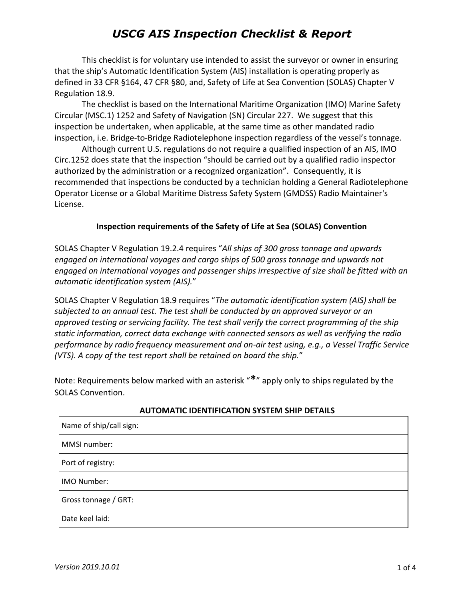This checklist is for voluntary use intended to assist the surveyor or owner in ensuring that the ship's Automatic Identification System (AIS) installation is operating properly as defined in 33 CFR §164, 47 CFR §80, and, Safety of Life at Sea Convention (SOLAS) Chapter V Regulation 18.9.

The checklist is based on the International Maritime Organization (IMO) Marine Safety Circular (MSC.1) 1252 and Safety of Navigation (SN) Circular 227. We suggest that this inspection be undertaken, when applicable, at the same time as other mandated radio inspection, i.e. Bridge-to-Bridge Radiotelephone inspection regardless of the vessel's tonnage.

Although current U.S. regulations do not require a qualified inspection of an AIS, IMO Circ.1252 does state that the inspection "should be carried out by a qualified radio inspector authorized by the administration or a recognized organization". Consequently, it is recommended that inspections be conducted by a technician holding a General Radiotelephone Operator License or a Global Maritime Distress Safety System (GMDSS) Radio Maintainer's License.

### **Inspection requirements of the Safety of Life at Sea (SOLAS) Convention**

SOLAS Chapter V Regulation 19.2.4 requires "*All ships of 300 gross tonnage and upwards engaged on international voyages and cargo ships of 500 gross tonnage and upwards not engaged on international voyages and passenger ships irrespective of size shall be fitted with an automatic identification system (AIS).*"

SOLAS Chapter V Regulation 18.9 requires "*The automatic identification system (AIS) shall be subjected to an annual test. The test shall be conducted by an approved surveyor or an approved testing or servicing facility. The test shall verify the correct programming of the ship static information, correct data exchange with connected sensors as well as verifying the radio performance by radio frequency measurement and on-air test using, e.g., a Vessel Traffic Service (VTS). A copy of the test report shall be retained on board the ship.*"

Note: Requirements below marked with an asterisk "**\***" apply only to ships regulated by the SOLAS Convention.

| Name of ship/call sign: |  |
|-------------------------|--|
| MMSI number:            |  |
| Port of registry:       |  |
| IMO Number:             |  |
| Gross tonnage / GRT:    |  |
| Date keel laid:         |  |

#### **AUTOMATIC IDENTIFICATION SYSTEM SHIP DETAILS**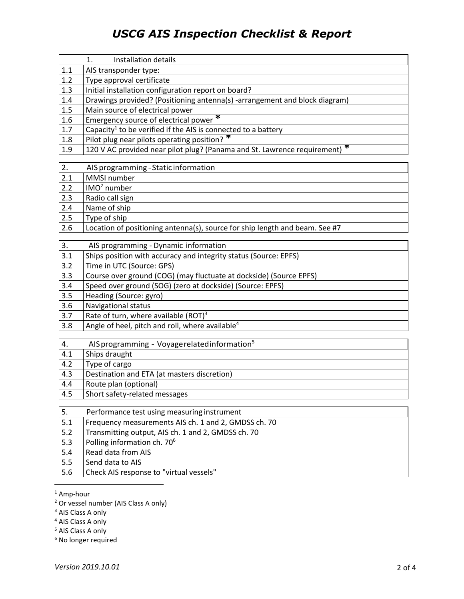|     | Installation details<br>1.                                                 |  |
|-----|----------------------------------------------------------------------------|--|
| 1.1 | AIS transponder type:                                                      |  |
| 1.2 | Type approval certificate                                                  |  |
| 1.3 | Initial installation configuration report on board?                        |  |
| 1.4 | Drawings provided? (Positioning antenna(s) -arrangement and block diagram) |  |
| 1.5 | Main source of electrical power                                            |  |
| 1.6 | Emergency source of electrical power *                                     |  |
| 1.7 | Capacity <sup>1</sup> to be verified if the AIS is connected to a battery  |  |
| 1.8 | Pilot plug near pilots operating position?                                 |  |
| 1.9 | 120 V AC provided near pilot plug? (Panama and St. Lawrence requirement) * |  |

| 2.  | AIS programming - Static information                                        |  |
|-----|-----------------------------------------------------------------------------|--|
| 2.1 | MMSI number                                                                 |  |
| 2.2 | $ IMO2$ number                                                              |  |
| 2.3 | Radio call sign                                                             |  |
| 2.4 | Name of ship                                                                |  |
| 2.5 | Type of ship                                                                |  |
| 2.6 | Location of positioning antenna(s), source for ship length and beam. See #7 |  |

| 3.  | AIS programming - Dynamic information                              |  |
|-----|--------------------------------------------------------------------|--|
| 3.1 | Ships position with accuracy and integrity status (Source: EPFS)   |  |
| 3.2 | Time in UTC (Source: GPS)                                          |  |
| 3.3 | Course over ground (COG) (may fluctuate at dockside) (Source EPFS) |  |
| 3.4 | Speed over ground (SOG) (zero at dockside) (Source: EPFS)          |  |
| 3.5 | Heading (Source: gyro)                                             |  |
| 3.6 | <b>Navigational status</b>                                         |  |
| 3.7 | Rate of turn, where available (ROT) <sup>3</sup>                   |  |
| 3.8 | Angle of heel, pitch and roll, where available <sup>4</sup>        |  |

| 4.  | AIS programming - Voyage related information <sup>5</sup> |  |
|-----|-----------------------------------------------------------|--|
| 4.1 | Ships draught                                             |  |
| 4.2 | Type of cargo                                             |  |
| 4.3 | Destination and ETA (at masters discretion)               |  |
| 4.4 | Route plan (optional)                                     |  |
| 4.5 | Short safety-related messages                             |  |

| 5.  | Performance test using measuring instrument          |  |
|-----|------------------------------------------------------|--|
| 5.1 | Frequency measurements AIS ch. 1 and 2, GMDSS ch. 70 |  |
| 5.2 | Transmitting output, AIS ch. 1 and 2, GMDSS ch. 70   |  |
| 5.3 | Polling information ch. 70 <sup>6</sup>              |  |
| 5.4 | Read data from AIS                                   |  |
| 5.5 | Send data to AIS                                     |  |
| 5.6 | Check AIS response to "virtual vessels"              |  |

<sup>1</sup> Amp-hour

 $\overline{a}$ 

<sup>2</sup> Or vessel number (AIS Class A only)

<sup>3</sup> AIS Class A only

<sup>4</sup> AIS Class A only

<sup>5</sup> AIS Class A only

<sup>6</sup> No longer required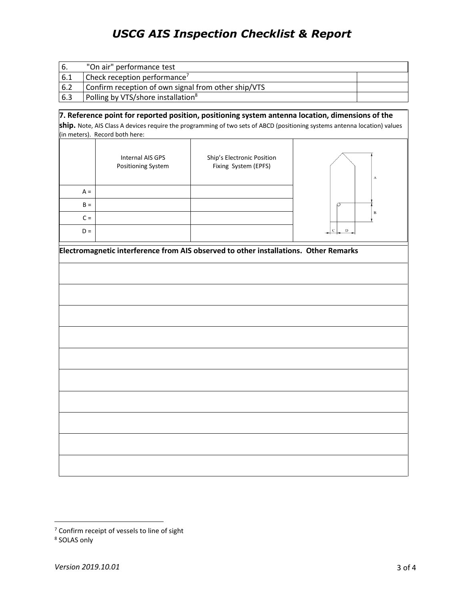| -6. | "On air" performance test                           |  |
|-----|-----------------------------------------------------|--|
| 6.1 | Check reception performance <sup>7</sup>            |  |
| 6.2 | Confirm reception of own signal from other ship/VTS |  |
| 6.3 | Polling by VTS/shore installation <sup>8</sup>      |  |

### **7. Reference point for reported position, positioning system antenna location, dimensions of the**

**ship.** Note, AIS Class A devices require the programming of two sets of ABCD (positioning systems antenna location) values (in meters). Record both here:

|       | Internal AIS GPS<br>Positioning System | Ship's Electronic Position<br>Fixing System (EPFS) | Α |
|-------|----------------------------------------|----------------------------------------------------|---|
| $A =$ |                                        |                                                    |   |
| $B =$ |                                        |                                                    |   |
| $C =$ |                                        |                                                    | B |
| $D =$ |                                        |                                                    |   |

| Electromagnetic interference from AIS observed to other installations. Other Remarks |  |  |
|--------------------------------------------------------------------------------------|--|--|
|                                                                                      |  |  |
|                                                                                      |  |  |
|                                                                                      |  |  |
|                                                                                      |  |  |
|                                                                                      |  |  |
|                                                                                      |  |  |
|                                                                                      |  |  |
|                                                                                      |  |  |
|                                                                                      |  |  |
|                                                                                      |  |  |
|                                                                                      |  |  |

 $\overline{a}$ 

 $7$  Confirm receipt of vessels to line of sight

<sup>8</sup> SOLAS only